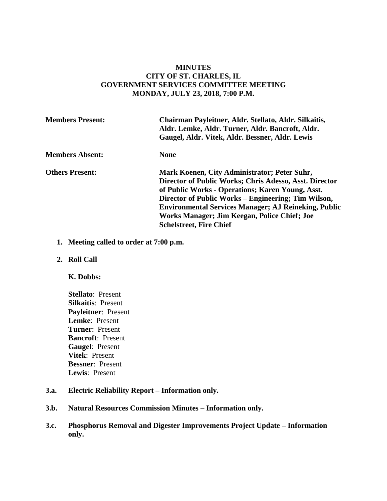## **MINUTES CITY OF ST. CHARLES, IL GOVERNMENT SERVICES COMMITTEE MEETING MONDAY, JULY 23, 2018, 7:00 P.M.**

| <b>Members Present:</b> | Chairman Payleitner, Aldr. Stellato, Aldr. Silkaitis,<br>Aldr. Lemke, Aldr. Turner, Aldr. Bancroft, Aldr.<br>Gaugel, Aldr. Vitek, Aldr. Bessner, Aldr. Lewis                                                                                                                                                                                                       |
|-------------------------|--------------------------------------------------------------------------------------------------------------------------------------------------------------------------------------------------------------------------------------------------------------------------------------------------------------------------------------------------------------------|
| <b>Members Absent:</b>  | <b>None</b>                                                                                                                                                                                                                                                                                                                                                        |
| <b>Others Present:</b>  | Mark Koenen, City Administrator; Peter Suhr,<br>Director of Public Works; Chris Adesso, Asst. Director<br>of Public Works - Operations; Karen Young, Asst.<br>Director of Public Works – Engineering; Tim Wilson,<br><b>Environmental Services Manager; AJ Reineking, Public</b><br>Works Manager; Jim Keegan, Police Chief; Joe<br><b>Schelstreet, Fire Chief</b> |

- **1. Meeting called to order at 7:00 p.m.**
- **2. Roll Call**

#### **K. Dobbs:**

**Stellato**: Present **Silkaitis**: Present **Payleitner**: Present **Lemke**: Present **Turner**: Present **Bancroft**: Present **Gaugel**: Present **Vitek**: Present **Bessner**: Present **Lewis**: Present

#### **3.a. Electric Reliability Report – Information only.**

- **3.b. Natural Resources Commission Minutes – Information only.**
- **3.c. Phosphorus Removal and Digester Improvements Project Update – Information only.**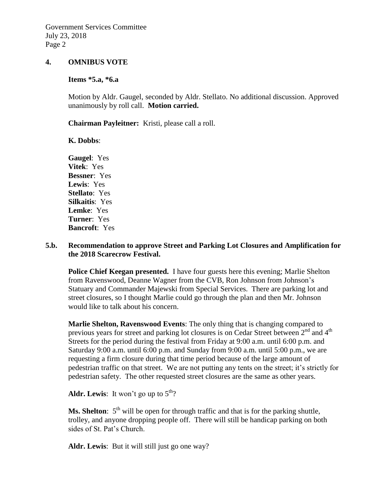#### **4. OMNIBUS VOTE**

# **Items \*5.a, \*6.a**

Motion by Aldr. Gaugel, seconded by Aldr. Stellato. No additional discussion. Approved unanimously by roll call. **Motion carried.**

**Chairman Payleitner:** Kristi, please call a roll.

#### **K. Dobbs**:

**Gaugel**: Yes **Vitek**: Yes **Bessner**: Yes **Lewis**: Yes **Stellato**: Yes **Silkaitis**: Yes **Lemke**: Yes **Turner**: Yes **Bancroft**: Yes

#### **5.b. Recommendation to approve Street and Parking Lot Closures and Amplification for the 2018 Scarecrow Festival.**

**Police Chief Keegan presented.** I have four guests here this evening; Marlie Shelton from Ravenswood, Deanne Wagner from the CVB, Ron Johnson from Johnson's Statuary and Commander Majewski from Special Services. There are parking lot and street closures, so I thought Marlie could go through the plan and then Mr. Johnson would like to talk about his concern.

**Marlie Shelton, Ravenswood Events**: The only thing that is changing compared to previous years for street and parking lot closures is on Cedar Street between 2<sup>nd</sup> and 4<sup>th</sup> Streets for the period during the festival from Friday at 9:00 a.m. until 6:00 p.m. and Saturday 9:00 a.m. until 6:00 p.m. and Sunday from 9:00 a.m. until 5:00 p.m., we are requesting a firm closure during that time period because of the large amount of pedestrian traffic on that street. We are not putting any tents on the street; it's strictly for pedestrian safety. The other requested street closures are the same as other years.

**Aldr. Lewis:** It won't go up to  $5<sup>th</sup>$ ?

**Ms. Shelton**:  $5<sup>th</sup>$  will be open for through traffic and that is for the parking shuttle, trolley, and anyone dropping people off. There will still be handicap parking on both sides of St. Pat's Church.

Aldr. Lewis: But it will still just go one way?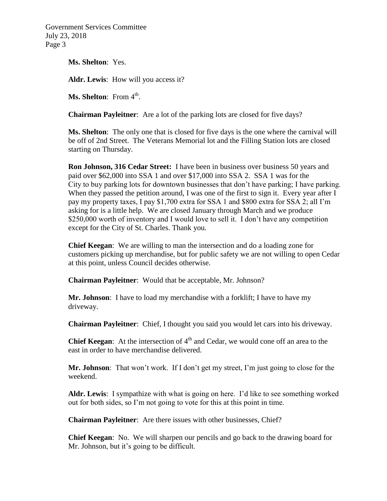Government Services Committee July 23, 2018 Page 3

**Ms. Shelton**: Yes.

**Aldr. Lewis**: How will you access it?

**Ms. Shelton**: From 4<sup>th</sup>.

**Chairman Payleitner**: Are a lot of the parking lots are closed for five days?

**Ms. Shelton**: The only one that is closed for five days is the one where the carnival will be off of 2nd Street. The Veterans Memorial lot and the Filling Station lots are closed starting on Thursday.

**Ron Johnson, 316 Cedar Street:** I have been in business over business 50 years and paid over \$62,000 into SSA 1 and over \$17,000 into SSA 2. SSA 1 was for the City to buy parking lots for downtown businesses that don't have parking; I have parking. When they passed the petition around, I was one of the first to sign it. Every year after I pay my property taxes, I pay \$1,700 extra for SSA 1 and \$800 extra for SSA 2; all I'm asking for is a little help. We are closed January through March and we produce \$250,000 worth of inventory and I would love to sell it. I don't have any competition except for the City of St. Charles. Thank you.

**Chief Keegan**: We are willing to man the intersection and do a loading zone for customers picking up merchandise, but for public safety we are not willing to open Cedar at this point, unless Council decides otherwise.

**Chairman Payleitner**: Would that be acceptable, Mr. Johnson?

**Mr. Johnson**: I have to load my merchandise with a forklift; I have to have my driveway.

**Chairman Payleitner**: Chief, I thought you said you would let cars into his driveway.

**Chief Keegan**: At the intersection of  $4<sup>th</sup>$  and Cedar, we would cone off an area to the east in order to have merchandise delivered.

**Mr. Johnson**: That won't work. If I don't get my street, I'm just going to close for the weekend.

**Aldr. Lewis**: I sympathize with what is going on here. I'd like to see something worked out for both sides, so I'm not going to vote for this at this point in time.

**Chairman Payleitner**: Are there issues with other businesses, Chief?

**Chief Keegan**: No. We will sharpen our pencils and go back to the drawing board for Mr. Johnson, but it's going to be difficult.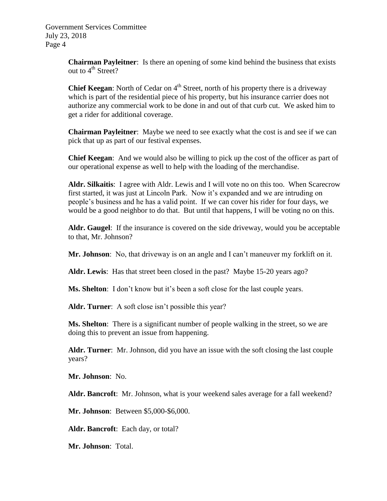Government Services Committee July 23, 2018 Page 4

> **Chairman Payleitner**: Is there an opening of some kind behind the business that exists out to  $4^{th}$  Street?

> **Chief Keegan**: North of Cedar on 4<sup>th</sup> Street, north of his property there is a driveway which is part of the residential piece of his property, but his insurance carrier does not authorize any commercial work to be done in and out of that curb cut. We asked him to get a rider for additional coverage.

> **Chairman Payleitner**: Maybe we need to see exactly what the cost is and see if we can pick that up as part of our festival expenses.

> **Chief Keegan**: And we would also be willing to pick up the cost of the officer as part of our operational expense as well to help with the loading of the merchandise.

> **Aldr. Silkaitis**: I agree with Aldr. Lewis and I will vote no on this too. When Scarecrow first started, it was just at Lincoln Park. Now it's expanded and we are intruding on people's business and he has a valid point. If we can cover his rider for four days, we would be a good neighbor to do that. But until that happens, I will be voting no on this.

> **Aldr. Gaugel**: If the insurance is covered on the side driveway, would you be acceptable to that, Mr. Johnson?

**Mr. Johnson**: No, that driveway is on an angle and I can't maneuver my forklift on it.

**Aldr. Lewis**: Has that street been closed in the past? Maybe 15-20 years ago?

**Ms. Shelton**: I don't know but it's been a soft close for the last couple years.

Aldr. Turner: A soft close isn't possible this year?

**Ms. Shelton**: There is a significant number of people walking in the street, so we are doing this to prevent an issue from happening.

**Aldr. Turner**: Mr. Johnson, did you have an issue with the soft closing the last couple years?

**Mr. Johnson**: No.

**Aldr. Bancroft**: Mr. Johnson, what is your weekend sales average for a fall weekend?

**Mr. Johnson**: Between \$5,000-\$6,000.

**Aldr. Bancroft**: Each day, or total?

**Mr. Johnson**: Total.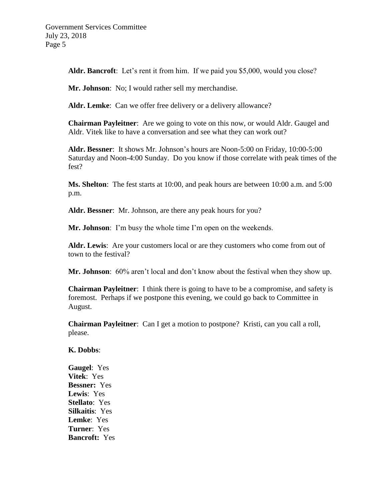**Aldr. Bancroft**: Let's rent it from him. If we paid you \$5,000, would you close?

**Mr. Johnson**: No; I would rather sell my merchandise.

**Aldr. Lemke**: Can we offer free delivery or a delivery allowance?

**Chairman Payleitner**: Are we going to vote on this now, or would Aldr. Gaugel and Aldr. Vitek like to have a conversation and see what they can work out?

**Aldr. Bessner**: It shows Mr. Johnson's hours are Noon-5:00 on Friday, 10:00-5:00 Saturday and Noon-4:00 Sunday. Do you know if those correlate with peak times of the fest?

**Ms. Shelton**: The fest starts at 10:00, and peak hours are between 10:00 a.m. and 5:00 p.m.

**Aldr. Bessner**: Mr. Johnson, are there any peak hours for you?

**Mr. Johnson**: I'm busy the whole time I'm open on the weekends.

**Aldr. Lewis**: Are your customers local or are they customers who come from out of town to the festival?

**Mr. Johnson**: 60% aren't local and don't know about the festival when they show up.

**Chairman Payleitner**: I think there is going to have to be a compromise, and safety is foremost. Perhaps if we postpone this evening, we could go back to Committee in August.

**Chairman Payleitner**: Can I get a motion to postpone? Kristi, can you call a roll, please.

### **K. Dobbs**:

**Gaugel**: Yes **Vitek**: Yes **Bessner:** Yes **Lewis**: Yes **Stellato**: Yes **Silkaitis**: Yes **Lemke**: Yes **Turner**: Yes **Bancroft:** Yes